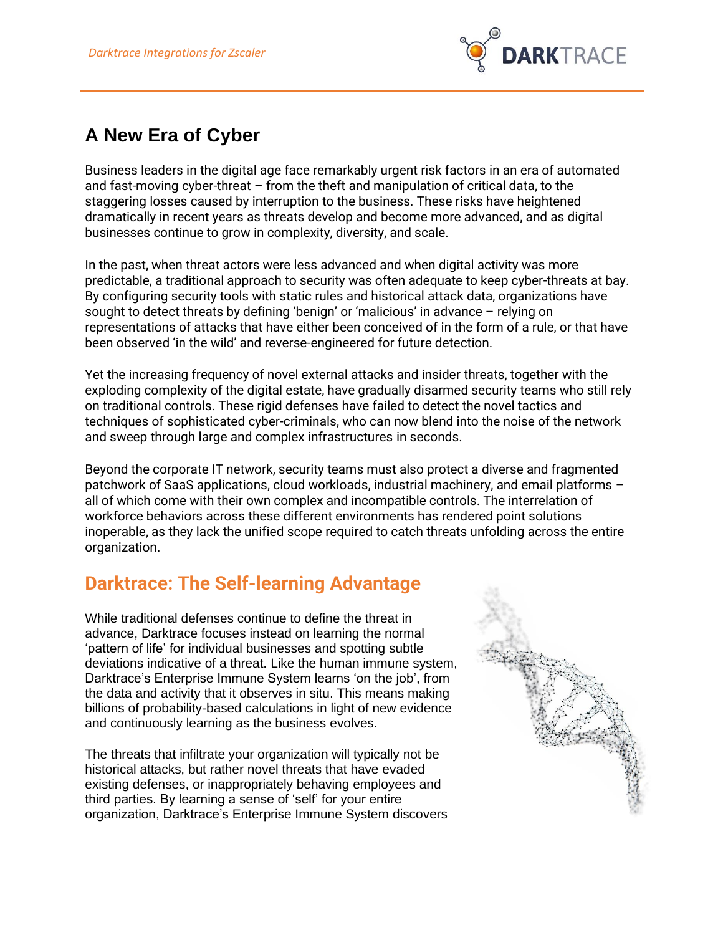

## **A New Era of Cyber**

Business leaders in the digital age face remarkably urgent risk factors in an era of automated and fast-moving cyber-threat – from the theft and manipulation of critical data, to the staggering losses caused by interruption to the business. These risks have heightened dramatically in recent years as threats develop and become more advanced, and as digital businesses continue to grow in complexity, diversity, and scale.

In the past, when threat actors were less advanced and when digital activity was more predictable, a traditional approach to security was often adequate to keep cyber-threats at bay. By configuring security tools with static rules and historical attack data, organizations have sought to detect threats by defining 'benign' or 'malicious' in advance – relying on representations of attacks that have either been conceived of in the form of a rule, or that have been observed 'in the wild' and reverse-engineered for future detection.

Yet the increasing frequency of novel external attacks and insider threats, together with the exploding complexity of the digital estate, have gradually disarmed security teams who still rely on traditional controls. These rigid defenses have failed to detect the novel tactics and techniques of sophisticated cyber-criminals, who can now blend into the noise of the network and sweep through large and complex infrastructures in seconds.

Beyond the corporate IT network, security teams must also protect a diverse and fragmented patchwork of SaaS applications, cloud workloads, industrial machinery, and email platforms – all of which come with their own complex and incompatible controls. The interrelation of workforce behaviors across these different environments has rendered point solutions inoperable, as they lack the unified scope required to catch threats unfolding across the entire organization.

## **Darktrace: The Self-learning Advantage**

While traditional defenses continue to define the threat in advance, Darktrace focuses instead on learning the normal 'pattern of life' for individual businesses and spotting subtle deviations indicative of a threat. Like the human immune system, Darktrace's Enterprise Immune System learns 'on the job', from the data and activity that it observes in situ. This means making billions of probability-based calculations in light of new evidence and continuously learning as the business evolves.

The threats that infiltrate your organization will typically not be historical attacks, but rather novel threats that have evaded existing defenses, or inappropriately behaving employees and third parties. By learning a sense of 'self' for your entire organization, Darktrace's Enterprise Immune System discovers

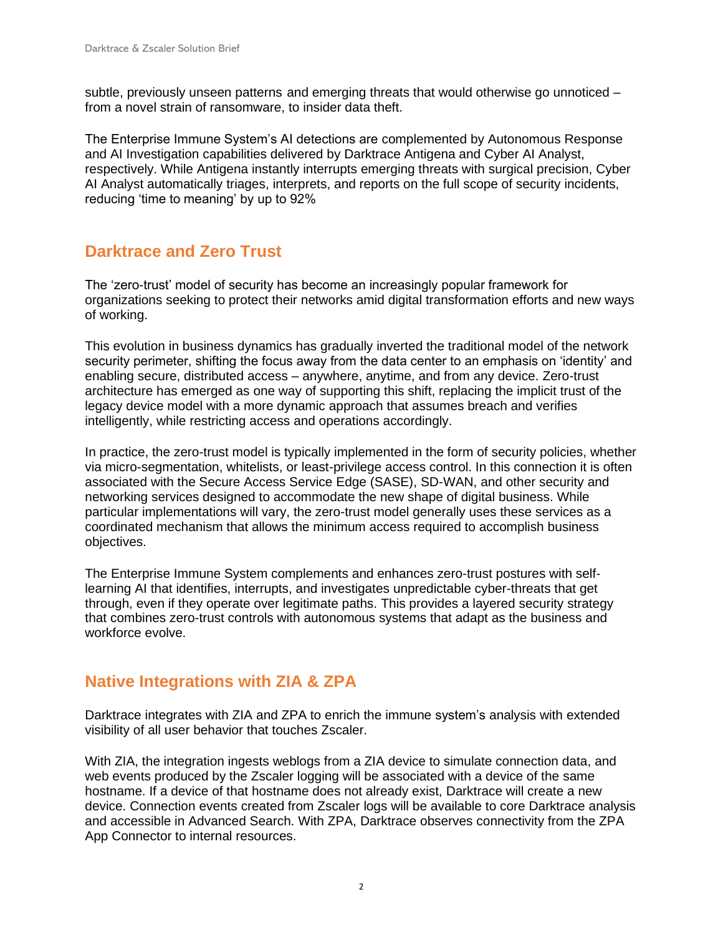subtle, previously unseen patterns and emerging threats that would otherwise go unnoticed – from a novel strain of ransomware, to insider data theft.

The Enterprise Immune System's AI detections are complemented by Autonomous Response and AI Investigation capabilities delivered by Darktrace Antigena and Cyber AI Analyst, respectively. While Antigena instantly interrupts emerging threats with surgical precision, Cyber AI Analyst automatically triages, interprets, and reports on the full scope of security incidents, reducing 'time to meaning' by up to 92%

## **Darktrace and Zero Trust**

The 'zero-trust' model of security has become an increasingly popular framework for organizations seeking to protect their networks amid digital transformation efforts and new ways of working.

This evolution in business dynamics has gradually inverted the traditional model of the network security perimeter, shifting the focus away from the data center to an emphasis on 'identity' and enabling secure, distributed access – anywhere, anytime, and from any device. Zero-trust architecture has emerged as one way of supporting this shift, replacing the implicit trust of the legacy device model with a more dynamic approach that assumes breach and verifies intelligently, while restricting access and operations accordingly.

In practice, the zero-trust model is typically implemented in the form of security policies, whether via micro-segmentation, whitelists, or least-privilege access control. In this connection it is often associated with the Secure Access Service Edge (SASE), SD-WAN, and other security and networking services designed to accommodate the new shape of digital business. While particular implementations will vary, the zero-trust model generally uses these services as a coordinated mechanism that allows the minimum access required to accomplish business objectives.

The Enterprise Immune System complements and enhances zero-trust postures with selflearning AI that identifies, interrupts, and investigates unpredictable cyber-threats that get through, even if they operate over legitimate paths. This provides a layered security strategy that combines zero-trust controls with autonomous systems that adapt as the business and workforce evolve.

## **Native Integrations with ZIA & ZPA**

Darktrace integrates with ZIA and ZPA to enrich the immune system's analysis with extended visibility of all user behavior that touches Zscaler.

With ZIA, the integration ingests weblogs from a ZIA device to simulate connection data, and web events produced by the Zscaler logging will be associated with a device of the same hostname. If a device of that hostname does not already exist, Darktrace will create a new device. Connection events created from Zscaler logs will be available to core Darktrace analysis and accessible in Advanced Search. With ZPA, Darktrace observes connectivity from the ZPA App Connector to internal resources.